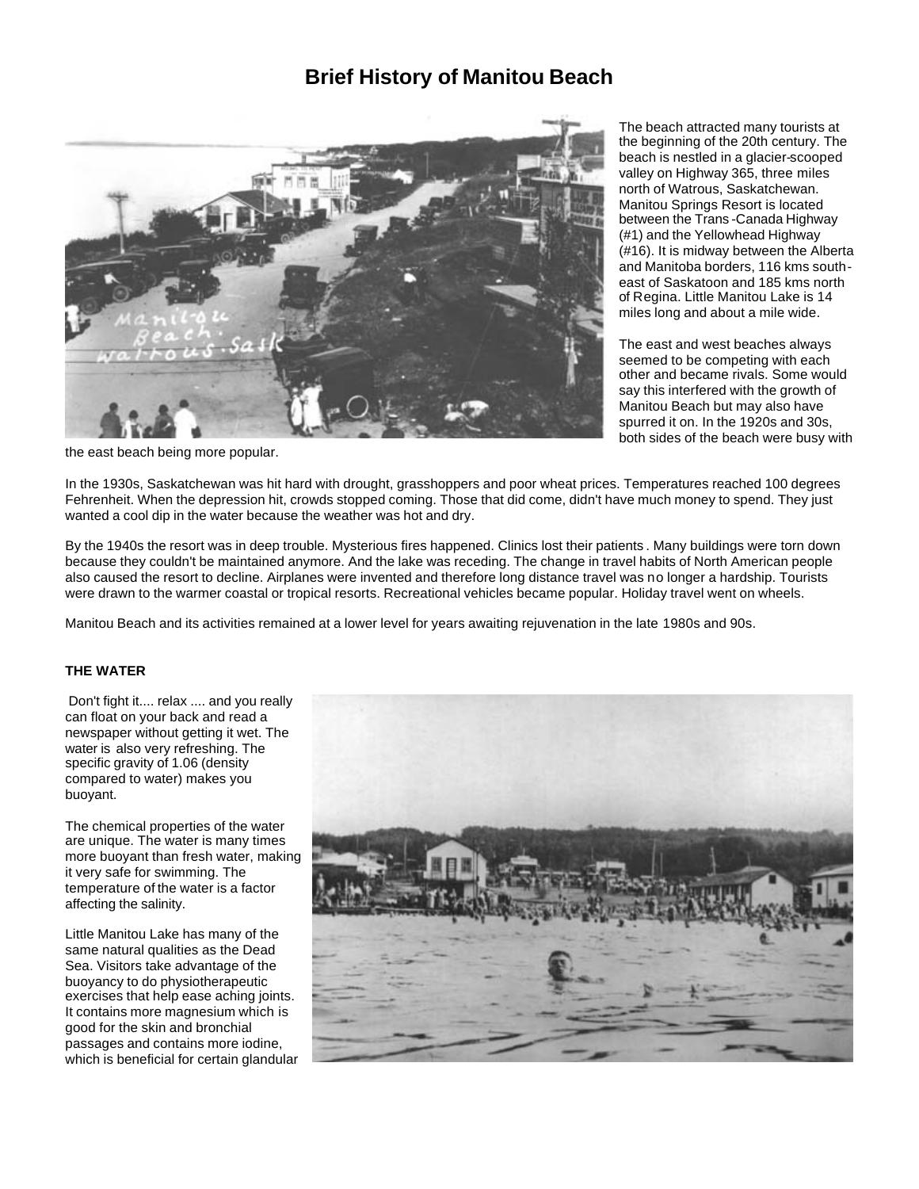# **Brief History of Manitou Beach**



The beach attracted many tourists at the beginning of the 20th century. The beach is nestled in a glacier-scooped valley on Highway 365, three miles north of Watrous, Saskatchewan. Manitou Springs Resort is located between the Trans -Canada Highway (#1) and the Yellowhead Highway (#16). It is midway between the Alberta and Manitoba borders, 116 kms southeast of Saskatoon and 185 kms north of Regina. Little Manitou Lake is 14 miles long and about a mile wide.

The east and west beaches always seemed to be competing with each other and became rivals. Some would say this interfered with the growth of Manitou Beach but may also have spurred it on. In the 1920s and 30s, both sides of the beach were busy with

the east beach being more popular.

In the 1930s, Saskatchewan was hit hard with drought, grasshoppers and poor wheat prices. Temperatures reached 100 degrees Fehrenheit. When the depression hit, crowds stopped coming. Those that did come, didn't have much money to spend. They just wanted a cool dip in the water because the weather was hot and dry.

By the 1940s the resort was in deep trouble. Mysterious fires happened. Clinics lost their patients . Many buildings were torn down because they couldn't be maintained anymore. And the lake was receding. The change in travel habits of North American people also caused the resort to decline. Airplanes were invented and therefore long distance travel was no longer a hardship. Tourists were drawn to the warmer coastal or tropical resorts. Recreational vehicles became popular. Holiday travel went on wheels.

Manitou Beach and its activities remained at a lower level for years awaiting rejuvenation in the late 1980s and 90s.

# **THE WATER**

Don't fight it.... relax .... and you really can float on your back and read a newspaper without getting it wet. The water is also very refreshing. The specific gravity of 1.06 (density compared to water) makes you buoyant.

The chemical properties of the water are unique. The water is many times more buoyant than fresh water, making it very safe for swimming. The temperature of the water is a factor affecting the salinity.

Little Manitou Lake has many of the same natural qualities as the Dead Sea. Visitors take advantage of the buoyancy to do physiotherapeutic exercises that help ease aching joints. It contains more magnesium which is good for the skin and bronchial passages and contains more iodine, which is beneficial for certain glandular

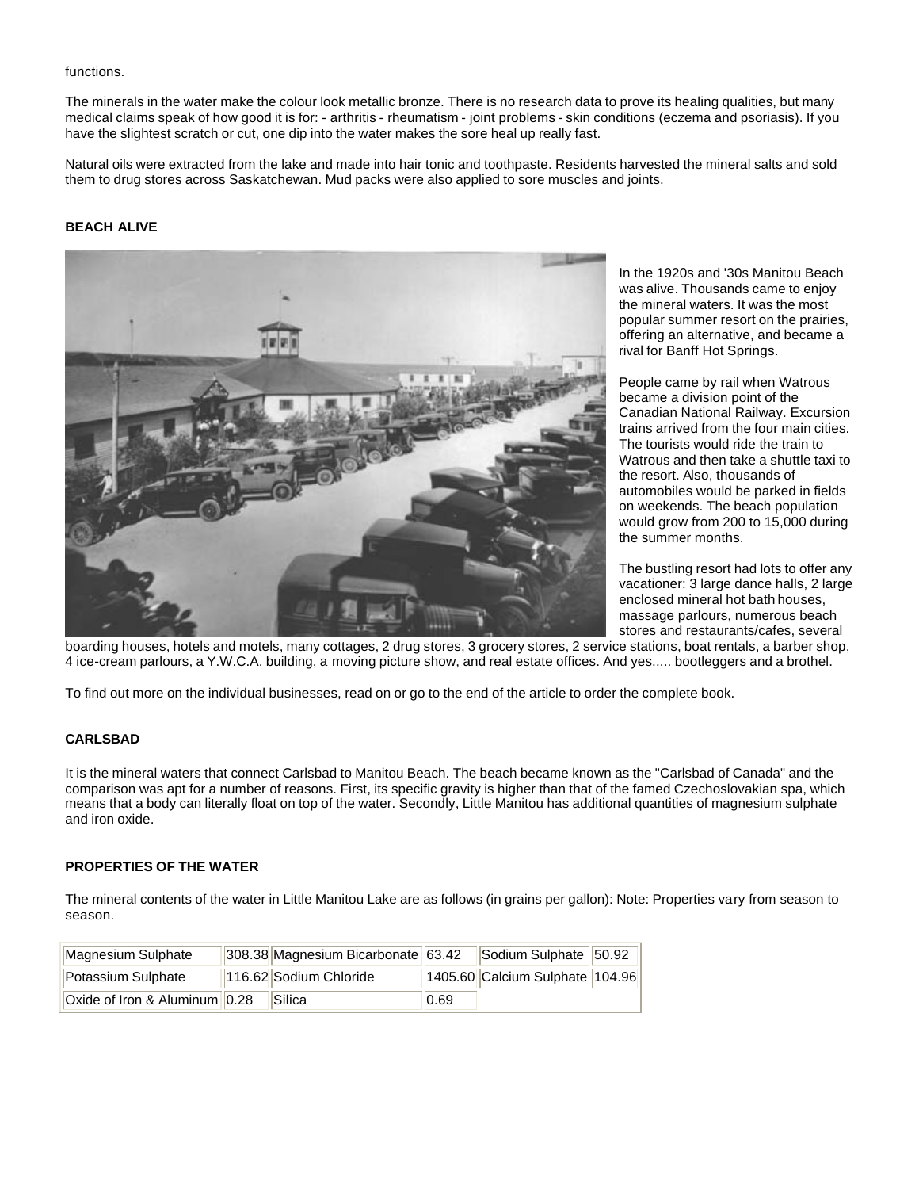#### functions.

The minerals in the water make the colour look metallic bronze. There is no research data to prove its healing qualities, but many medical claims speak of how good it is for: - arthritis - rheumatism - joint problems - skin conditions (eczema and psoriasis). If you have the slightest scratch or cut, one dip into the water makes the sore heal up really fast.

Natural oils were extracted from the lake and made into hair tonic and toothpaste. Residents harvested the mineral salts and sold them to drug stores across Saskatchewan. Mud packs were also applied to sore muscles and joints.

# **BEACH ALIVE**



In the 1920s and '30s Manitou Beach was alive. Thousands came to enjoy the mineral waters. It was the most popular summer resort on the prairies, offering an alternative, and became a rival for Banff Hot Springs.

People came by rail when Watrous became a division point of the Canadian National Railway. Excursion trains arrived from the four main cities. The tourists would ride the train to Watrous and then take a shuttle taxi to the resort. Also, thousands of automobiles would be parked in fields on weekends. The beach population would grow from 200 to 15,000 during the summer months.

The bustling resort had lots to offer any vacationer: 3 large dance halls, 2 large enclosed mineral hot bath houses, massage parlours, numerous beach stores and restaurants/cafes, several

boarding houses, hotels and motels, many cottages, 2 drug stores, 3 grocery stores, 2 service stations, boat rentals, a barber shop, 4 ice-cream parlours, a Y.W.C.A. building, a moving picture show, and real estate offices. And yes..... bootleggers and a brothel.

To find out more on the individual businesses, read on or go to the end of the article to order the complete book.

# **CARLSBAD**

It is the mineral waters that connect Carlsbad to Manitou Beach. The beach became known as the "Carlsbad of Canada" and the comparison was apt for a number of reasons. First, its specific gravity is higher than that of the famed Czechoslovakian spa, which means that a body can literally float on top of the water. Secondly, Little Manitou has additional quantities of magnesium sulphate and iron oxide.

# **PROPERTIES OF THE WATER**

The mineral contents of the water in Little Manitou Lake are as follows (in grains per gallon): Note: Properties vary from season to season.

| Magnesium Sulphate            | 308.38 Magnesium Bicarbonate 63.42 Sodium Sulphate 50.92 |      |                                 |  |
|-------------------------------|----------------------------------------------------------|------|---------------------------------|--|
| Potassium Sulphate            | 116.62 Sodium Chloride                                   |      | 1405.60 Calcium Sulphate 104.96 |  |
| Oxide of Iron & Aluminum 0.28 | <b>Silica</b>                                            | 0.69 |                                 |  |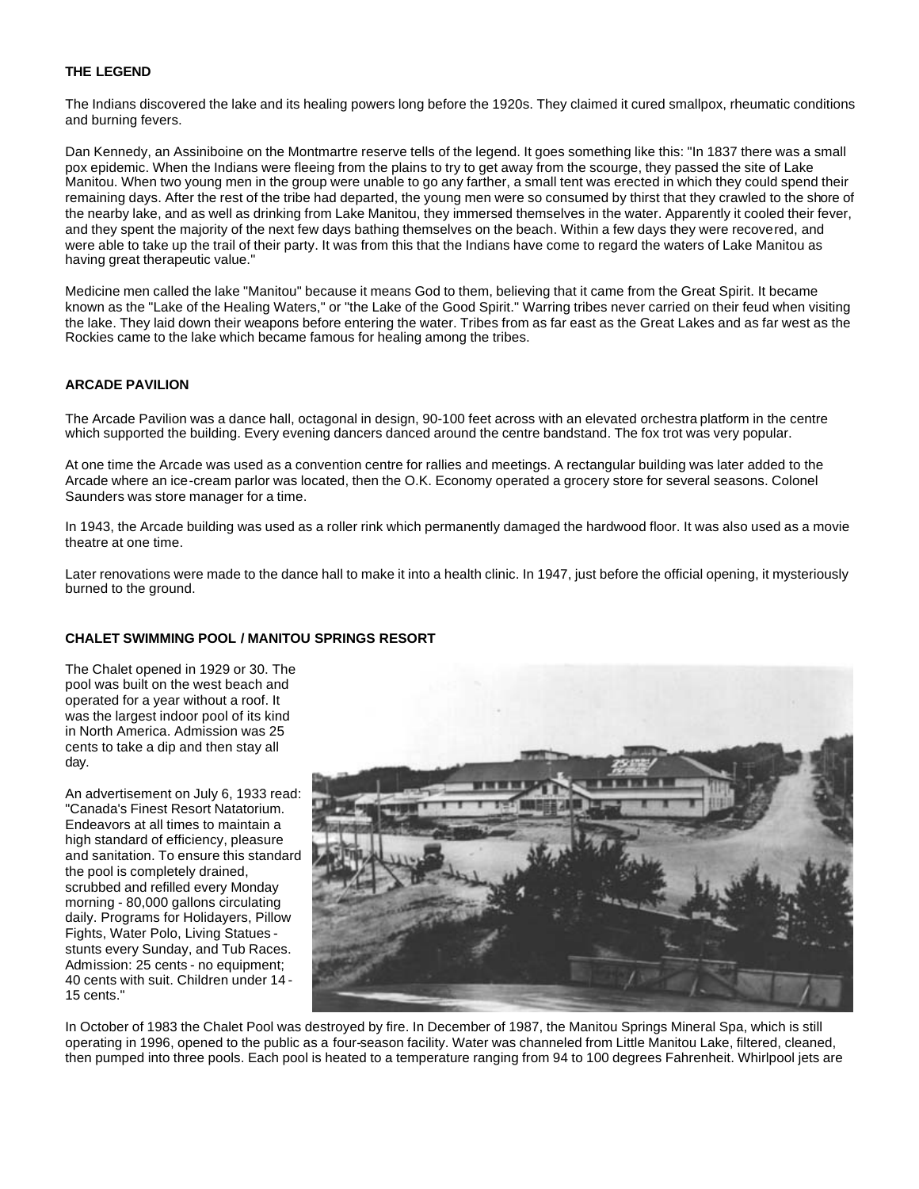#### **THE LEGEND**

The Indians discovered the lake and its healing powers long before the 1920s. They claimed it cured smallpox, rheumatic conditions and burning fevers.

Dan Kennedy, an Assiniboine on the Montmartre reserve tells of the legend. It goes something like this: "In 1837 there was a small pox epidemic. When the Indians were fleeing from the plains to try to get away from the scourge, they passed the site of Lake Manitou. When two young men in the group were unable to go any farther, a small tent was erected in which they could spend their remaining days. After the rest of the tribe had departed, the young men were so consumed by thirst that they crawled to the shore of the nearby lake, and as well as drinking from Lake Manitou, they immersed themselves in the water. Apparently it cooled their fever, and they spent the majority of the next few days bathing themselves on the beach. Within a few days they were recovered, and were able to take up the trail of their party. It was from this that the Indians have come to regard the waters of Lake Manitou as having great therapeutic value."

Medicine men called the lake "Manitou" because it means God to them, believing that it came from the Great Spirit. It became known as the "Lake of the Healing Waters," or "the Lake of the Good Spirit." Warring tribes never carried on their feud when visiting the lake. They laid down their weapons before entering the water. Tribes from as far east as the Great Lakes and as far west as the Rockies came to the lake which became famous for healing among the tribes.

# **ARCADE PAVILION**

The Arcade Pavilion was a dance hall, octagonal in design, 90-100 feet across with an elevated orchestra platform in the centre which supported the building. Every evening dancers danced around the centre bandstand. The fox trot was very popular.

At one time the Arcade was used as a convention centre for rallies and meetings. A rectangular building was later added to the Arcade where an ice-cream parlor was located, then the O.K. Economy operated a grocery store for several seasons. Colonel Saunders was store manager for a time.

In 1943, the Arcade building was used as a roller rink which permanently damaged the hardwood floor. It was also used as a movie theatre at one time.

Later renovations were made to the dance hall to make it into a health clinic. In 1947, just before the official opening, it mysteriously burned to the ground.

# **CHALET SWIMMING POOL / MANITOU SPRINGS RESORT**

The Chalet opened in 1929 or 30. The pool was built on the west beach and operated for a year without a roof. It was the largest indoor pool of its kind in North America. Admission was 25 cents to take a dip and then stay all day.

An advertisement on July 6, 1933 read: "Canada's Finest Resort Natatorium. Endeavors at all times to maintain a high standard of efficiency, pleasure and sanitation. To ensure this standard the pool is completely drained, scrubbed and refilled every Monday morning - 80,000 gallons circulating daily. Programs for Holidayers, Pillow Fights, Water Polo, Living Statues stunts every Sunday, and Tub Races. Admission: 25 cents - no equipment; 40 cents with suit. Children under 14 - 15 cents."



In October of 1983 the Chalet Pool was destroyed by fire. In December of 1987, the Manitou Springs Mineral Spa, which is still operating in 1996, opened to the public as a four-season facility. Water was channeled from Little Manitou Lake, filtered, cleaned, then pumped into three pools. Each pool is heated to a temperature ranging from 94 to 100 degrees Fahrenheit. Whirlpool jets are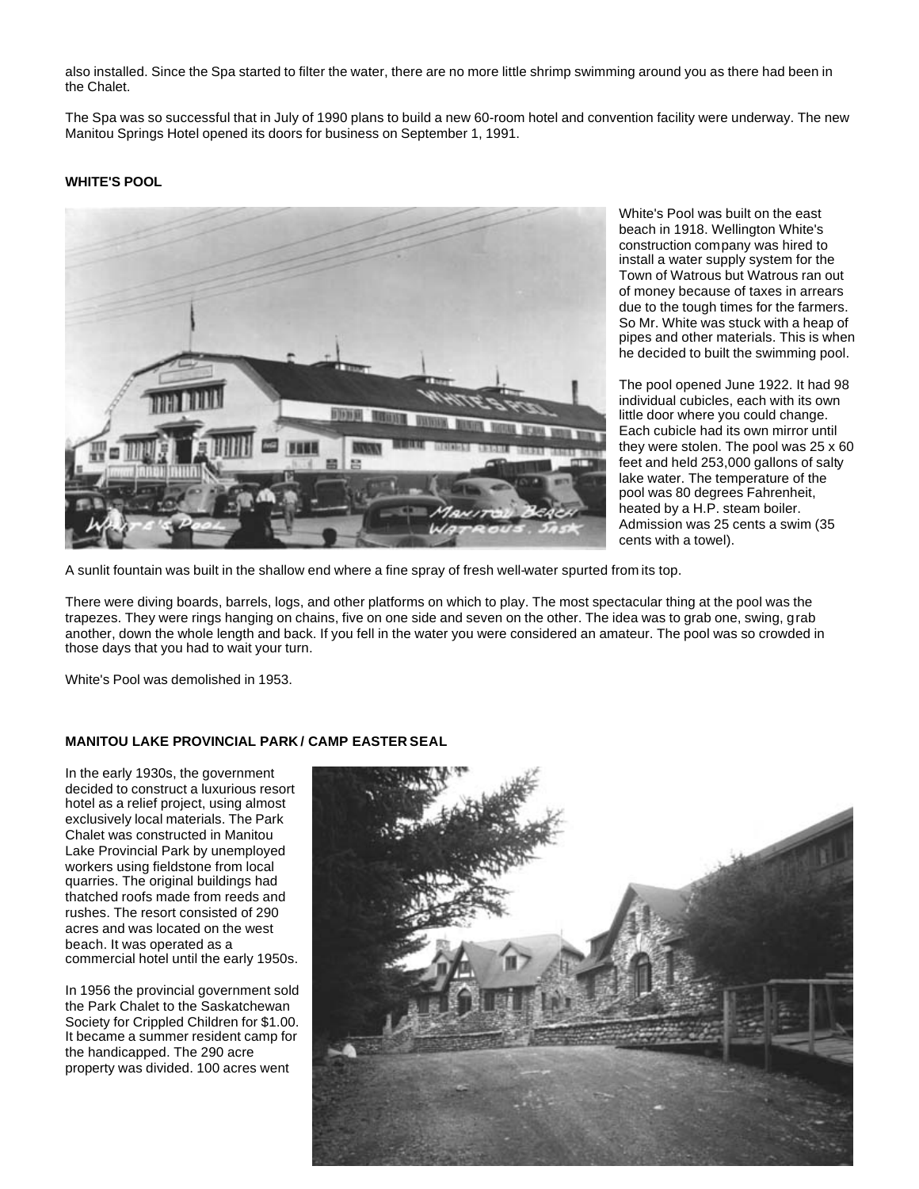also installed. Since the Spa started to filter the water, there are no more little shrimp swimming around you as there had been in the Chalet.

The Spa was so successful that in July of 1990 plans to build a new 60-room hotel and convention facility were underway. The new Manitou Springs Hotel opened its doors for business on September 1, 1991.

# **WHITE'S POOL**



White's Pool was built on the east beach in 1918. Wellington White's construction company was hired to install a water supply system for the Town of Watrous but Watrous ran out of money because of taxes in arrears due to the tough times for the farmers. So Mr. White was stuck with a heap of pipes and other materials. This is when he decided to built the swimming pool.

The pool opened June 1922. It had 98 individual cubicles, each with its own little door where you could change. Each cubicle had its own mirror until they were stolen. The pool was 25 x 60 feet and held 253,000 gallons of salty lake water. The temperature of the pool was 80 degrees Fahrenheit, heated by a H.P. steam boiler. Admission was 25 cents a swim (35 cents with a towel).

A sunlit fountain was built in the shallow end where a fine spray of fresh well-water spurted from its top.

There were diving boards, barrels, logs, and other platforms on which to play. The most spectacular thing at the pool was the trapezes. They were rings hanging on chains, five on one side and seven on the other. The idea was to grab one, swing, grab another, down the whole length and back. If you fell in the water you were considered an amateur. The pool was so crowded in those days that you had to wait your turn.

White's Pool was demolished in 1953.

# **MANITOU LAKE PROVINCIAL PARK / CAMP EASTER SEAL**

In the early 1930s, the government decided to construct a luxurious resort hotel as a relief project, using almost exclusively local materials. The Park Chalet was constructed in Manitou Lake Provincial Park by unemployed workers using fieldstone from local quarries. The original buildings had thatched roofs made from reeds and rushes. The resort consisted of 290 acres and was located on the west beach. It was operated as a commercial hotel until the early 1950s.

In 1956 the provincial government sold the Park Chalet to the Saskatchewan Society for Crippled Children for \$1.00. It became a summer resident camp for the handicapped. The 290 acre property was divided. 100 acres went

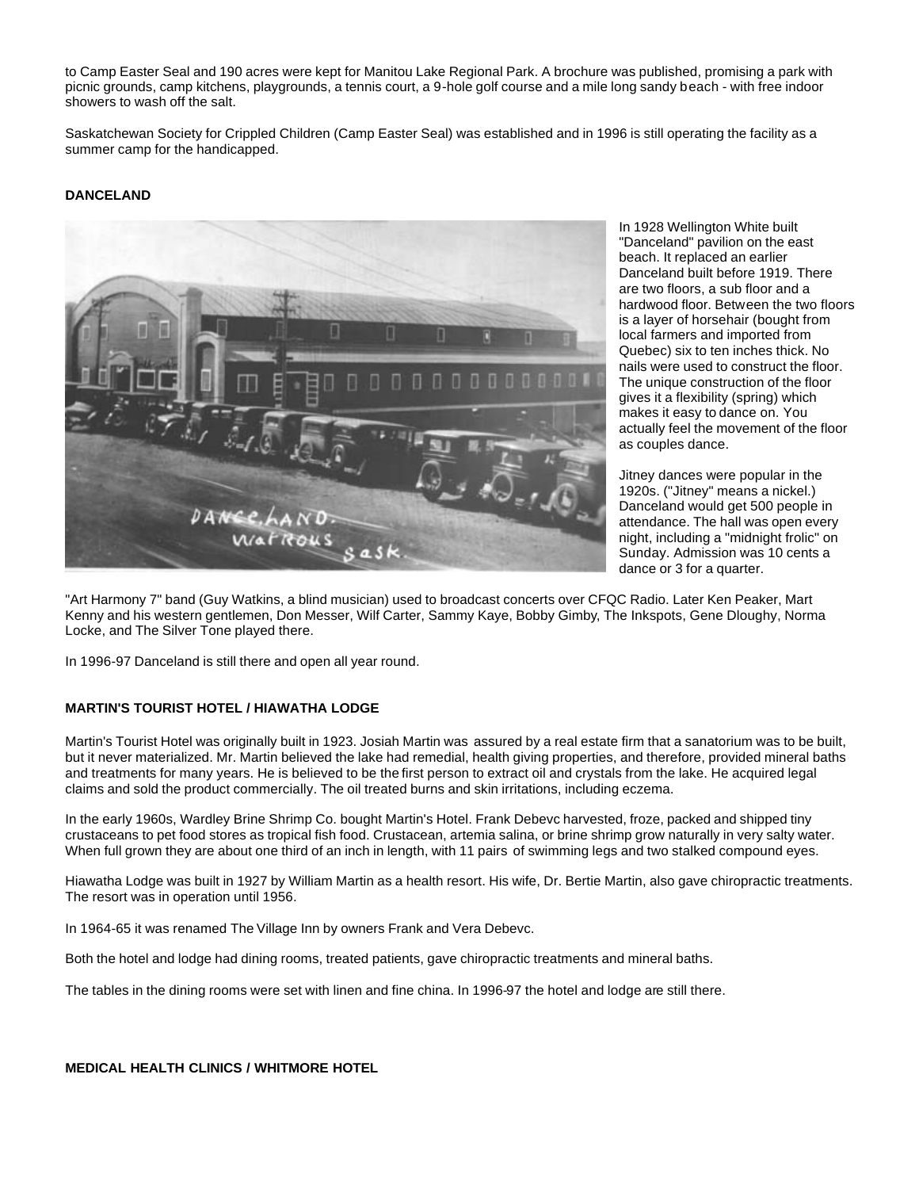to Camp Easter Seal and 190 acres were kept for Manitou Lake Regional Park. A brochure was published, promising a park with picnic grounds, camp kitchens, playgrounds, a tennis court, a 9-hole golf course and a mile long sandy beach - with free indoor showers to wash off the salt.

Saskatchewan Society for Crippled Children (Camp Easter Seal) was established and in 1996 is still operating the facility as a summer camp for the handicapped.

#### **DANCELAND**



In 1928 Wellington White built "Danceland" pavilion on the east beach. It replaced an earlier Danceland built before 1919. There are two floors, a sub floor and a hardwood floor. Between the two floors is a layer of horsehair (bought from local farmers and imported from Quebec) six to ten inches thick. No nails were used to construct the floor. The unique construction of the floor gives it a flexibility (spring) which makes it easy to dance on. You actually feel the movement of the floor as couples dance.

Jitney dances were popular in the 1920s. ("Jitney" means a nickel.) Danceland would get 500 people in attendance. The hall was open every night, including a "midnight frolic" on Sunday. Admission was 10 cents a dance or 3 for a quarter.

"Art Harmony 7" band (Guy Watkins, a blind musician) used to broadcast concerts over CFQC Radio. Later Ken Peaker, Mart Kenny and his western gentlemen, Don Messer, Wilf Carter, Sammy Kaye, Bobby Gimby, The Inkspots, Gene Dloughy, Norma Locke, and The Silver Tone played there.

In 1996-97 Danceland is still there and open all year round.

# **MARTIN'S TOURIST HOTEL / HIAWATHA LODGE**

Martin's Tourist Hotel was originally built in 1923. Josiah Martin was assured by a real estate firm that a sanatorium was to be built, but it never materialized. Mr. Martin believed the lake had remedial, health giving properties, and therefore, provided mineral baths and treatments for many years. He is believed to be the first person to extract oil and crystals from the lake. He acquired legal claims and sold the product commercially. The oil treated burns and skin irritations, including eczema.

In the early 1960s, Wardley Brine Shrimp Co. bought Martin's Hotel. Frank Debevc harvested, froze, packed and shipped tiny crustaceans to pet food stores as tropical fish food. Crustacean, artemia salina, or brine shrimp grow naturally in very salty water. When full grown they are about one third of an inch in length, with 11 pairs of swimming legs and two stalked compound eyes.

Hiawatha Lodge was built in 1927 by William Martin as a health resort. His wife, Dr. Bertie Martin, also gave chiropractic treatments. The resort was in operation until 1956.

In 1964-65 it was renamed The Village Inn by owners Frank and Vera Debevc.

Both the hotel and lodge had dining rooms, treated patients, gave chiropractic treatments and mineral baths.

The tables in the dining rooms were set with linen and fine china. In 1996-97 the hotel and lodge are still there.

#### **MEDICAL HEALTH CLINICS / WHITMORE HOTEL**